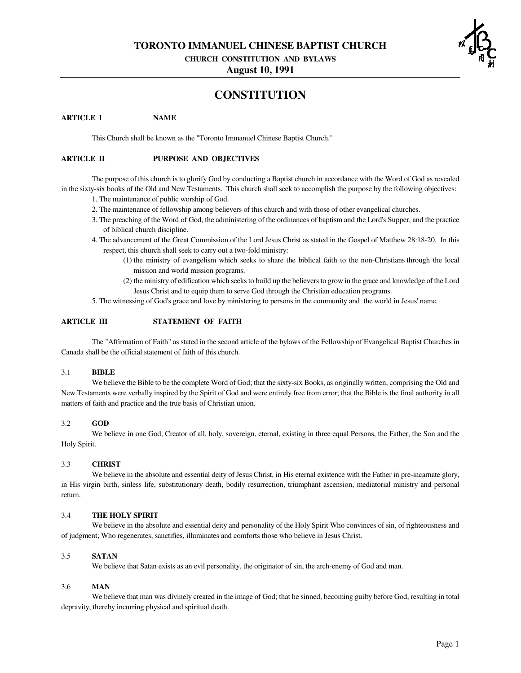**TORONTO IMMANUEL CHINESE BAPTIST CHURCH**

**CHURCH CONSTITUTION AND BYLAWS**

**August 10, 1991**

# **CONSTITUTION**

# **ARTICLE I NAME**

This Church shall be known as the "Toronto Immanuel Chinese Baptist Church."

## **ARTICLE II PURPOSE AND OBJECTIVES**

The purpose of this church is to glorify God by conducting a Baptist church in accordance with the Word of God as revealed in the sixty-six books of the Old and New Testaments. This church shall seek to accomplish the purpose by the following objectives:

- 1. The maintenance of public worship of God.
- 2. The maintenance of fellowship among believers of this church and with those of other evangelical churches.
- 3. The preaching of the Word of God, the administering of the ordinances of baptism and the Lord's Supper, and the practice of biblical church discipline.
- 4. The advancement of the Great Commission of the Lord Jesus Christ as stated in the Gospel of Matthew 28:18-20. In this respect, this church shall seek to carry out a two-fold ministry:
	- (1) the ministry of evangelism which seeks to share the biblical faith to the non-Christians through the local mission and world mission programs.
	- (2) the ministry of edification which seeksto build up the believersto grow in the grace and knowledge of the Lord Jesus Christ and to equip them to serve God through the Christian education programs.
- 5. The witnessing of God's grace and love by ministering to persons in the community and the world in Jesus' name.

# **ARTICLE III STATEMENT OF FAITH**

The "Affirmation of Faith" as stated in the second article of the bylaws of the Fellowship of Evangelical Baptist Churches in Canada shall be the official statement of faith of this church.

## 3.1 **BIBLE**

We believe the Bible to be the complete Word of God; that the sixty-six Books, as originally written, comprising the Old and New Testaments were verbally inspired by the Spirit of God and were entirely free from error; that the Bible is the final authority in all matters of faith and practice and the true basis of Christian union.

# 3.2 **GOD**

We believe in one God, Creator of all, holy, sovereign, eternal, existing in three equal Persons, the Father, the Son and the Holy Spirit.

## 3.3 **CHRIST**

We believe in the absolute and essential deity of Jesus Christ, in His eternal existence with the Father in pre-incarnate glory, in His virgin birth, sinless life, substitutionary death, bodily resurrection, triumphant ascension, mediatorial ministry and personal return.

# 3.4 **THE HOLY SPIRIT**

We believe in the absolute and essential deity and personality of the Holy Spirit Who convinces of sin, of righteousness and of judgment; Who regenerates, sanctifies, illuminates and comforts those who believe in Jesus Christ.

## 3.5 **SATAN**

We believe that Satan exists as an evil personality, the originator of sin, the arch-enemy of God and man.

#### 3.6 **MAN**

We believe that man was divinely created in the image of God; that he sinned, becoming guilty before God, resulting in total depravity, thereby incurring physical and spiritual death.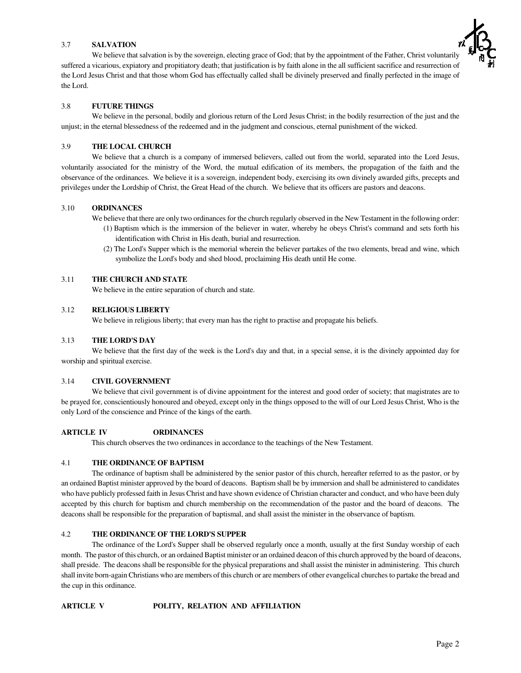# 3.7 **SALVATION**

We believe that salvation is by the sovereign, electing grace of God; that by the appointment of the Father, Christ voluntarily suffered a vicarious, expiatory and propitiatory death; that justification is by faith alone in the all sufficient sacrifice and resurrection of the Lord Jesus Christ and that those whom God has effectually called shall be divinely preserved and finally perfected in the image of the Lord.

# 3.8 **FUTURE THINGS**

We believe in the personal, bodily and glorious return of the Lord Jesus Christ; in the bodily resurrection of the just and the unjust; in the eternal blessedness of the redeemed and in the judgment and conscious, eternal punishment of the wicked.

# 3.9 **THE LOCAL CHURCH**

We believe that a church is a company of immersed believers, called out from the world, separated into the Lord Jesus, voluntarily associated for the ministry of the Word, the mutual edification of its members, the propagation of the faith and the observance of the ordinances. We believe it is a sovereign, independent body, exercising its own divinely awarded gifts, precepts and privileges under the Lordship of Christ, the Great Head of the church. We believe that its officers are pastors and deacons.

# 3.10 **ORDINANCES**

We believe that there are only two ordinances for the church regularly observed in the New Testament in the following order:

- (1) Baptism which is the immersion of the believer in water, whereby he obeys Christ's command and sets forth his identification with Christ in His death, burial and resurrection.
- (2) The Lord's Supper which is the memorial wherein the believer partakes of the two elements, bread and wine, which symbolize the Lord's body and shed blood, proclaiming His death until He come.

## 3.11 **THE CHURCH AND STATE**

We believe in the entire separation of church and state.

## 3.12 **RELIGIOUS LIBERTY**

We believe in religious liberty; that every man has the right to practise and propagate his beliefs.

## 3.13 **THE LORD'S DAY**

We believe that the first day of the week is the Lord's day and that, in a special sense, it is the divinely appointed day for worship and spiritual exercise.

## 3.14 **CIVIL GOVERNMENT**

We believe that civil government is of divine appointment for the interest and good order of society; that magistrates are to be prayed for, conscientiously honoured and obeyed, except only in the things opposed to the will of our Lord Jesus Christ, Who is the only Lord of the conscience and Prince of the kings of the earth.

## **ARTICLE IV ORDINANCES**

This church observes the two ordinances in accordance to the teachings of the New Testament.

## 4.1 **THE ORDINANCE OF BAPTISM**

The ordinance of baptism shall be administered by the senior pastor of this church, hereafter referred to as the pastor, or by an ordained Baptist minister approved by the board of deacons. Baptism shall be by immersion and shall be administered to candidates who have publicly professed faith in Jesus Christ and have shown evidence of Christian character and conduct, and who have been duly accepted by this church for baptism and church membership on the recommendation of the pastor and the board of deacons. The deacons shall be responsible for the preparation of baptismal, and shall assist the minister in the observance of baptism.

## 4.2 **THE ORDINANCE OF THE LORD'S SUPPER**

The ordinance of the Lord's Supper shall be observed regularly once a month, usually at the first Sunday worship of each month. The pastor ofthis church, or an ordained Baptist minister or an ordained deacon ofthis church approved by the board of deacons, shall preside. The deacons shall be responsible for the physical preparations and shall assist the minister in administering. This church shall invite born-again Christians who are members of this church or are members of other evangelical churches to partake the bread and the cup in this ordinance.

## **ARTICLE V POLITY, RELATION AND AFFILIATION**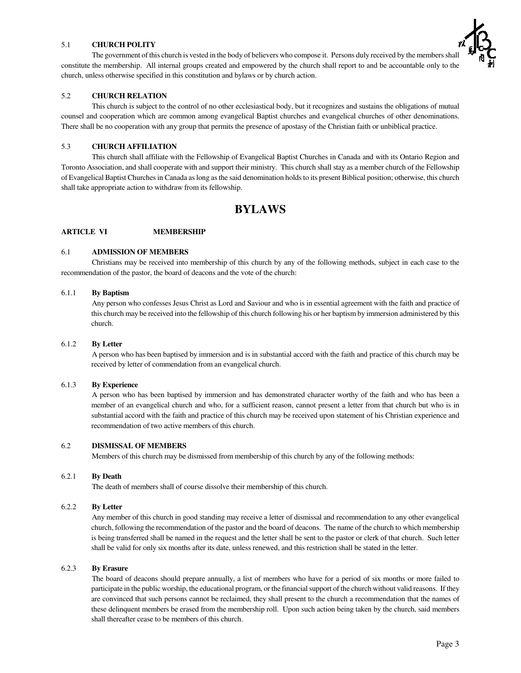# 5.1 **CHURCH POLITY**

The government of this church is vested in the body of believers who compose it. Persons duly received by the members shall constitute the membership. All internal groups created and empowered by the church shall report to and be accountable only to the church, unless otherwise specified in this constitution and bylaws or by church action.

# 5.2 **CHURCH RELATION**

This church is subject to the control of no other ecclesiastical body, but it recognizes and sustains the obligations of mutual counsel and cooperation which are common among evangelical Baptist churches and evangelical churches of other denominations. There shall be no cooperation with any group that permits the presence of apostasy of the Christian faith or unbiblical practice.

# 5.3 **CHURCH AFFILIATION**

This church shall affiliate with the Fellowship of Evangelical Baptist Churches in Canada and with its Ontario Region and Toronto Association, and shall cooperate with and support their ministry. This church shall stay as a member church of the Fellowship of Evangelical Baptist Churchesin Canada aslong asthe said denomination holdsto its present Biblical position; otherwise, this church shall take appropriate action to withdraw from its fellowship.

# **BYLAWS**

# **ARTICLE VI MEMBERSHIP**

# 6.1 **ADMISSION OF MEMBERS**

Christians may be received into membership of this church by any of the following methods, subject in each case to the recommendation of the pastor, the board of deacons and the vote of the church:

### 6.1.1 **By Baptism**

Any person who confesses Jesus Christ as Lord and Saviour and who is in essential agreement with the faith and practice of this church may be received into the fellowship of this church following his or her baptism by immersion administered by this church.

## 6.1.2 **By Letter**

A person who has been baptised by immersion and is in substantial accord with the faith and practice of this church may be received by letter of commendation from an evangelical church.

## 6.1.3 **By Experience**

A person who has been baptised by immersion and has demonstrated character worthy of the faith and who has been a member of an evangelical church and who, for a sufficient reason, cannot present a letter from that church but who is in substantial accord with the faith and practice of this church may be received upon statement of his Christian experience and recommendation of two active members of this church.

## 6.2 **DISMISSAL OF MEMBERS**

Members of this church may be dismissed from membership of this church by any of the following methods:

#### 6.2.1 **By Death**

The death of members shall of course dissolve their membership of this church.

#### 6.2.2 **By Letter**

Any member of this church in good standing may receive a letter of dismissal and recommendation to any other evangelical church, following the recommendation of the pastor and the board of deacons. The name of the church to which membership is being transferred shall be named in the request and the letter shall be sent to the pastor or clerk of that church. Such letter shall be valid for only six months after its date, unless renewed, and this restriction shall be stated in the letter.

#### 6.2.3 **By Erasure**

The board of deacons should prepare annually, a list of members who have for a period of six months or more failed to participate in the public worship, the educational program, or the financial support of the church without valid reasons. If they are convinced that such persons cannot be reclaimed, they shall present to the church a recommendation that the names of these delinquent members be erased from the membership roll. Upon such action being taken by the church, said members shall thereafter cease to be members of this church.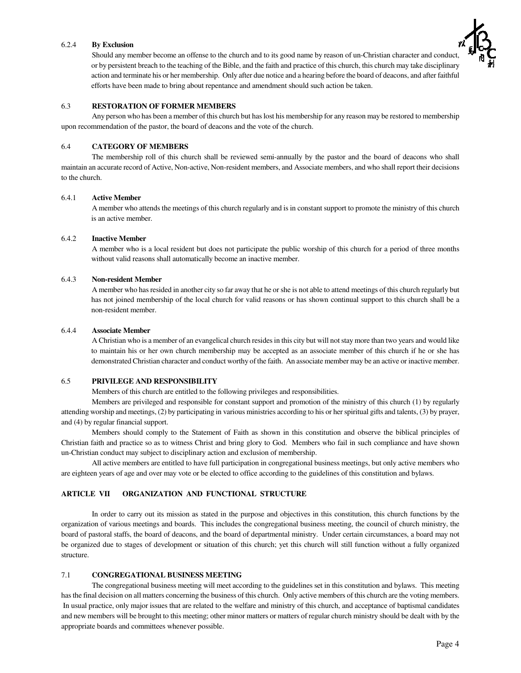#### 6.2.4 **By Exclusion**

Should any member become an offense to the church and to its good name by reason of un-Christian character and conduct, or by persistent breach to the teaching of the Bible, and the faith and practice of this church, this church may take disciplinary action and terminate his or her membership. Only after due notice and a hearing before the board of deacons, and after faithful efforts have been made to bring about repentance and amendment should such action be taken.



# 6.3 **RESTORATION OF FORMER MEMBERS**

Any person who has been a member of this church but haslost his membership for any reason may be restored to membership upon recommendation of the pastor, the board of deacons and the vote of the church.

#### 6.4 **CATEGORY OF MEMBERS**

The membership roll of this church shall be reviewed semi-annually by the pastor and the board of deacons who shall maintain an accurate record of Active, Non-active, Non-resident members, and Associate members, and who shall report their decisions to the church.

### 6.4.1 **Active Member**

A member who attends the meetings of this church regularly and is in constant support to promote the ministry of this church is an active member.

#### 6.4.2 **Inactive Member**

A member who is a local resident but does not participate the public worship of this church for a period of three months without valid reasons shall automatically become an inactive member.

#### 6.4.3 **Non-resident Member**

A member who hasresided in another city so far away that he or she is not able to attend meetings of this church regularly but has not joined membership of the local church for valid reasons or has shown continual support to this church shall be a non-resident member.

#### 6.4.4 **Associate Member**

A Christian who is a member of an evangelical church residesin this city but will notstay more than two years and would like to maintain his or her own church membership may be accepted as an associate member of this church if he or she has demonstrated Christian character and conduct worthy of the faith. An associate member may be an active or inactive member.

#### 6.5 **PRIVILEGE AND RESPONSIBILITY**

Members of this church are entitled to the following privileges and responsibilities.

Members are privileged and responsible for constant support and promotion of the ministry of this church (1) by regularly attending worship and meetings, (2) by participating in various ministries according to his or herspiritual gifts and talents, (3) by prayer, and (4) by regular financial support.

Members should comply to the Statement of Faith as shown in this constitution and observe the biblical principles of Christian faith and practice so as to witness Christ and bring glory to God. Members who fail in such compliance and have shown un-Christian conduct may subject to disciplinary action and exclusion of membership.

All active members are entitled to have full participation in congregational business meetings, but only active members who are eighteen years of age and over may vote or be elected to office according to the guidelines of this constitution and bylaws.

#### **ARTICLE VII ORGANIZATION AND FUNCTIONAL STRUCTURE**

In order to carry out its mission as stated in the purpose and objectives in this constitution, this church functions by the organization of various meetings and boards. This includes the congregational business meeting, the council of church ministry, the board of pastoral staffs, the board of deacons, and the board of departmental ministry. Under certain circumstances, a board may not be organized due to stages of development or situation of this church; yet this church will still function without a fully organized structure.

# 7.1 **CONGREGATIONAL BUSINESS MEETING**

The congregational business meeting will meet according to the guidelines set in this constitution and bylaws. This meeting hasthe final decision on all matters concerning the business of this church. Only active members of this church are the voting members. In usual practice, only major issues that are related to the welfare and ministry of this church, and acceptance of baptismal candidates and new members will be brought to this meeting; other minor matters or matters of regular church ministry should be dealt with by the appropriate boards and committees whenever possible.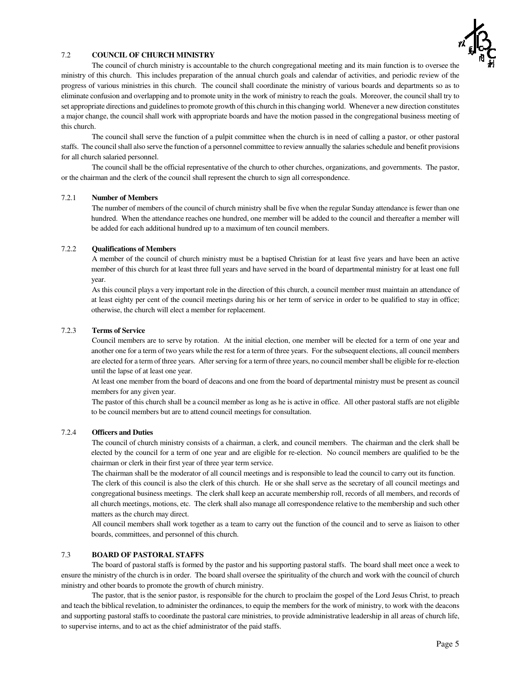

# 7.2 **COUNCIL OF CHURCH MINISTRY**

The council of church ministry is accountable to the church congregational meeting and its main function is to oversee the ministry of this church. This includes preparation of the annual church goals and calendar of activities, and periodic review of the progress of various ministries in this church. The council shall coordinate the ministry of various boards and departments so as to eliminate confusion and overlapping and to promote unity in the work of ministry to reach the goals. Moreover, the council shall try to set appropriate directions and guidelines to promote growth of this church in this changing world. Whenever a new direction constitutes a major change, the council shall work with appropriate boards and have the motion passed in the congregational business meeting of this church.

The council shall serve the function of a pulpit committee when the church is in need of calling a pastor, or other pastoral staffs. The council shall also serve the function of a personnel committee to review annually the salaries schedule and benefit provisions for all church salaried personnel.

The council shall be the official representative of the church to other churches, organizations, and governments. The pastor, or the chairman and the clerk of the council shall represent the church to sign all correspondence.

## 7.2.1 **Number of Members**

The number of members of the council of church ministry shall be five when the regular Sunday attendance is fewer than one hundred. When the attendance reaches one hundred, one member will be added to the council and thereafter a member will be added for each additional hundred up to a maximum of ten council members.

#### 7.2.2 **Qualifications of Members**

A member of the council of church ministry must be a baptised Christian for at least five years and have been an active member of this church for at least three full years and have served in the board of departmental ministry for at least one full year.

As this council plays a very important role in the direction of this church, a council member must maintain an attendance of at least eighty per cent of the council meetings during his or her term of service in order to be qualified to stay in office; otherwise, the church will elect a member for replacement.

#### 7.2.3 **Terms of Service**

Council members are to serve by rotation. At the initial election, one member will be elected for a term of one year and another one for a term of two years while the rest for a term of three years. For the subsequent elections, all council members are elected for a term of three years. After serving for a term of three years, no council member shall be eligible for re-election until the lapse of at least one year.

At least one member from the board of deacons and one from the board of departmental ministry must be present as council members for any given year.

The pastor of this church shall be a council member as long as he is active in office. All other pastoral staffs are not eligible to be council members but are to attend council meetings for consultation.

#### 7.2.4 **Officers and Duties**

The council of church ministry consists of a chairman, a clerk, and council members. The chairman and the clerk shall be elected by the council for a term of one year and are eligible for re-election. No council members are qualified to be the chairman or clerk in their first year of three year term service.

The chairman shall be the moderator of all council meetings and is responsible to lead the council to carry out its function. The clerk of this council is also the clerk of this church. He or she shall serve as the secretary of all council meetings and congregational business meetings. The clerk shall keep an accurate membership roll, records of all members, and records of all church meetings, motions, etc. The clerk shall also manage all correspondence relative to the membership and such other matters as the church may direct.

All council members shall work together as a team to carry out the function of the council and to serve as liaison to other boards, committees, and personnel of this church.

#### 7.3 **BOARD OF PASTORAL STAFFS**

The board of pastoral staffs is formed by the pastor and his supporting pastoral staffs. The board shall meet once a week to ensure the ministry of the church is in order. The board shall oversee the spirituality of the church and work with the council of church ministry and other boards to promote the growth of church ministry.

The pastor, that is the senior pastor, is responsible for the church to proclaim the gospel of the Lord Jesus Christ, to preach and teach the biblical revelation, to administer the ordinances, to equip the members for the work of ministry, to work with the deacons and supporting pastoral staffs to coordinate the pastoral care ministries, to provide administrative leadership in all areas of church life, to supervise interns, and to act as the chief administrator of the paid staffs.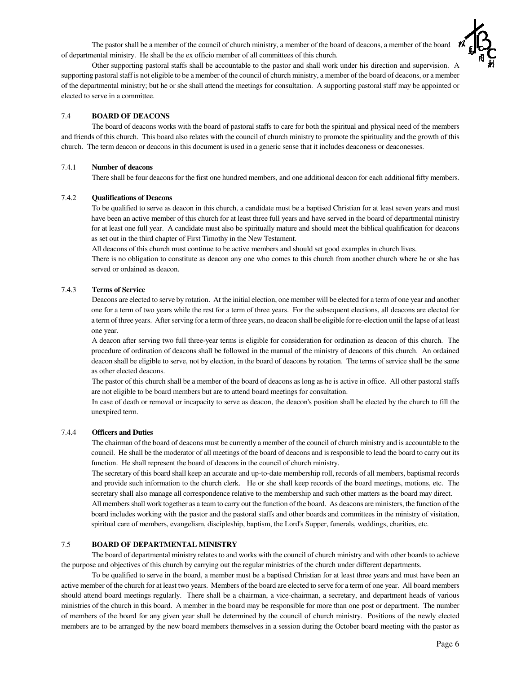The pastor shall be a member of the council of church ministry, a member of the board of deacons, a member of the board of departmental ministry. He shall be the ex officio member of all committees of this church.



Other supporting pastoral staffs shall be accountable to the pastor and shall work under his direction and supervision. A supporting pastoral staff is not eligible to be a member of the council of church ministry, a member of the board of deacons, or a member of the departmental ministry; but he or she shall attend the meetings for consultation. A supporting pastoral staff may be appointed or elected to serve in a committee.

## 7.4 **BOARD OF DEACONS**

The board of deacons works with the board of pastoral staffs to care for both the spiritual and physical need of the members and friends of this church. This board also relates with the council of church ministry to promote the spirituality and the growth of this church. The term deacon or deacons in this document is used in a generic sense that it includes deaconess or deaconesses.

#### 7.4.1 **Number of deacons**

There shall be four deacons for the first one hundred members, and one additional deacon for each additional fifty members.

#### 7.4.2 **Qualifications of Deacons**

To be qualified to serve as deacon in this church, a candidate must be a baptised Christian for at least seven years and must have been an active member of this church for at least three full years and have served in the board of departmental ministry for at least one full year. A candidate must also be spiritually mature and should meet the biblical qualification for deacons as set out in the third chapter of First Timothy in the New Testament.

All deacons of this church must continue to be active members and should set good examples in church lives.

There is no obligation to constitute as deacon any one who comes to this church from another church where he or she has served or ordained as deacon.

#### 7.4.3 **Terms of Service**

Deacons are elected to serve by rotation. At the initial election, one member will be elected for a term of one year and another one for a term of two years while the rest for a term of three years. For the subsequent elections, all deacons are elected for a term of three years. After serving for a term of three years, no deacon shall be eligible for re-election until the lapse of at least one year.

A deacon after serving two full three-year terms is eligible for consideration for ordination as deacon of this church. The procedure of ordination of deacons shall be followed in the manual of the ministry of deacons of this church. An ordained deacon shall be eligible to serve, not by election, in the board of deacons by rotation. The terms of service shall be the same as other elected deacons.

The pastor of this church shall be a member of the board of deacons as long as he is active in office. All other pastoral staffs are not eligible to be board members but are to attend board meetings for consultation.

In case of death or removal or incapacity to serve as deacon, the deacon's position shall be elected by the church to fill the unexpired term.

#### 7.4.4 **Officers and Duties**

The chairman of the board of deacons must be currently a member of the council of church ministry and is accountable to the council. He shall be the moderator of all meetings of the board of deacons and is responsible to lead the board to carry out its function. He shall represent the board of deacons in the council of church ministry.

The secretary of this board shall keep an accurate and up-to-date membership roll, records of all members, baptismal records and provide such information to the church clerk. He or she shall keep records of the board meetings, motions, etc. The secretary shall also manage all correspondence relative to the membership and such other matters as the board may direct.

All membersshall work together as a team to carry out the function of the board. As deacons are ministers, the function of the board includes working with the pastor and the pastoral staffs and other boards and committees in the ministry of visitation, spiritual care of members, evangelism, discipleship, baptism, the Lord's Supper, funerals, weddings, charities, etc.

# 7.5 **BOARD OF DEPARTMENTAL MINISTRY**

The board of departmental ministry relates to and works with the council of church ministry and with other boards to achieve the purpose and objectives of this church by carrying out the regular ministries of the church under different departments.

To be qualified to serve in the board, a member must be a baptised Christian for at least three years and must have been an active member of the church for at least two years. Members of the board are elected to serve for a term of one year. All board members should attend board meetings regularly. There shall be a chairman, a vice-chairman, a secretary, and department heads of various ministries of the church in this board. A member in the board may be responsible for more than one post or department. The number of members of the board for any given year shall be determined by the council of church ministry. Positions of the newly elected members are to be arranged by the new board members themselves in a session during the October board meeting with the pastor as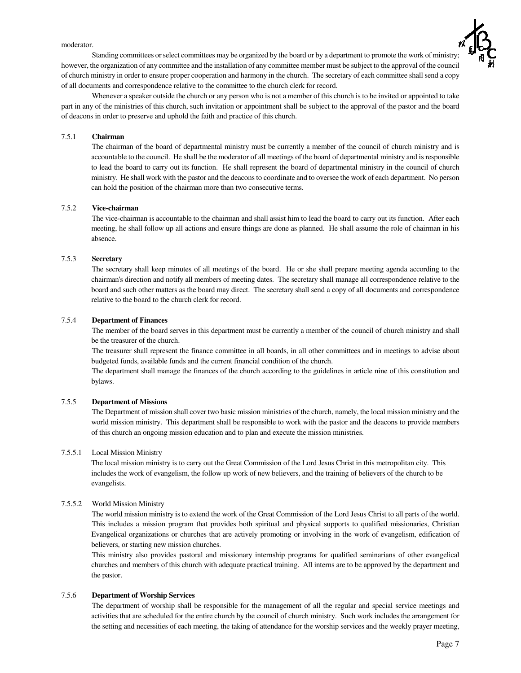moderator.



Standing committees orselect committees may be organized by the board or by a department to promote the work of ministry; however, the organization of any committee and the installation of any committee member must be subject to the approval of the council of church ministry in order to ensure proper cooperation and harmony in the church. The secretary of each committee shall send a copy of all documents and correspondence relative to the committee to the church clerk for record.

Whenever a speaker outside the church or any person who is not a member of this church is to be invited or appointed to take part in any of the ministries of this church, such invitation or appointment shall be subject to the approval of the pastor and the board of deacons in order to preserve and uphold the faith and practice of this church.

## 7.5.1 **Chairman**

The chairman of the board of departmental ministry must be currently a member of the council of church ministry and is accountable to the council. He shall be the moderator of all meetings of the board of departmental ministry and is responsible to lead the board to carry out its function. He shall represent the board of departmental ministry in the council of church ministry. He shall work with the pastor and the deaconsto coordinate and to oversee the work of each department. No person can hold the position of the chairman more than two consecutive terms.

# 7.5.2 **Vice-chairman**

The vice-chairman is accountable to the chairman and shall assist him to lead the board to carry out its function. After each meeting, he shall follow up all actions and ensure things are done as planned. He shall assume the role of chairman in his absence.

# 7.5.3 **Secretary**

The secretary shall keep minutes of all meetings of the board. He or she shall prepare meeting agenda according to the chairman's direction and notify all members of meeting dates. The secretary shall manage all correspondence relative to the board and such other matters as the board may direct. The secretary shall send a copy of all documents and correspondence relative to the board to the church clerk for record.

## 7.5.4 **Department of Finances**

The member of the board serves in this department must be currently a member of the council of church ministry and shall be the treasurer of the church.

The treasurer shall represent the finance committee in all boards, in all other committees and in meetings to advise about budgeted funds, available funds and the current financial condition of the church.

The department shall manage the finances of the church according to the guidelines in article nine of this constitution and bylaws.

## 7.5.5 **Department of Missions**

The Department of mission shall cover two basic mission ministries of the church, namely, the local mission ministry and the world mission ministry. This department shall be responsible to work with the pastor and the deacons to provide members of this church an ongoing mission education and to plan and execute the mission ministries.

# 7.5.5.1 Local Mission Ministry

The local mission ministry is to carry out the Great Commission of the Lord Jesus Christ in this metropolitan city. This includes the work of evangelism, the follow up work of new believers, and the training of believers of the church to be evangelists.

# 7.5.5.2 World Mission Ministry

The world mission ministry is to extend the work of the Great Commission of the Lord Jesus Christ to all parts of the world. This includes a mission program that provides both spiritual and physical supports to qualified missionaries, Christian Evangelical organizations or churches that are actively promoting or involving in the work of evangelism, edification of believers, or starting new mission churches.

This ministry also provides pastoral and missionary internship programs for qualified seminarians of other evangelical churches and members of this church with adequate practical training. All interns are to be approved by the department and the pastor.

# 7.5.6 **Department of Worship Services**

The department of worship shall be responsible for the management of all the regular and special service meetings and activities that are scheduled for the entire church by the council of church ministry. Such work includes the arrangement for the setting and necessities of each meeting, the taking of attendance for the worship services and the weekly prayer meeting,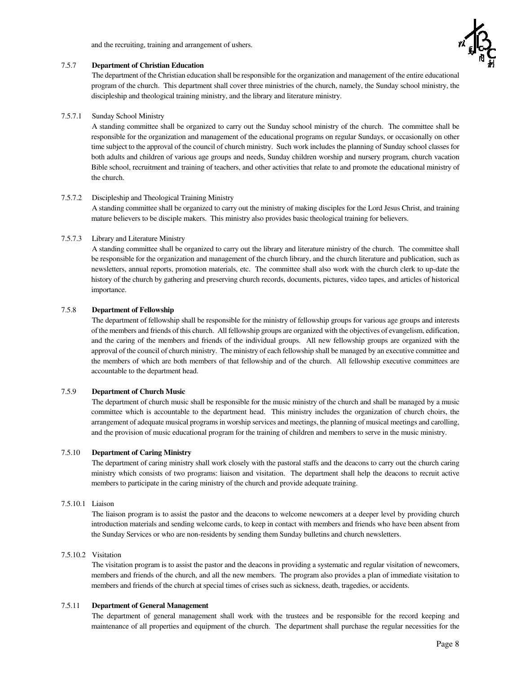and the recruiting, training and arrangement of ushers.



#### 7.5.7 **Department of Christian Education**

The department of the Christian education shall be responsible for the organization and management of the entire educational program of the church. This department shall cover three ministries of the church, namely, the Sunday school ministry, the discipleship and theological training ministry, and the library and literature ministry.

## 7.5.7.1 Sunday School Ministry

A standing committee shall be organized to carry out the Sunday school ministry of the church. The committee shall be responsible for the organization and management of the educational programs on regular Sundays, or occasionally on other time subject to the approval of the council of church ministry. Such work includes the planning of Sunday school classes for both adults and children of various age groups and needs, Sunday children worship and nursery program, church vacation Bible school, recruitment and training of teachers, and other activities that relate to and promote the educational ministry of the church.

#### 7.5.7.2 Discipleship and Theological Training Ministry

A standing committee shall be organized to carry out the ministry of making disciples for the Lord Jesus Christ, and training mature believers to be disciple makers. This ministry also provides basic theological training for believers.

#### 7.5.7.3 Library and Literature Ministry

A standing committee shall be organized to carry out the library and literature ministry of the church. The committee shall be responsible for the organization and management of the church library, and the church literature and publication, such as newsletters, annual reports, promotion materials, etc. The committee shall also work with the church clerk to up-date the history of the church by gathering and preserving church records, documents, pictures, video tapes, and articles of historical importance.

#### 7.5.8 **Department of Fellowship**

The department of fellowship shall be responsible for the ministry of fellowship groups for various age groups and interests ofthe members and friends of this church. All fellowship groups are organized with the objectives of evangelism, edification, and the caring of the members and friends of the individual groups. All new fellowship groups are organized with the approval of the council of church ministry. The ministry of each fellowship shall be managed by an executive committee and the members of which are both members of that fellowship and of the church. All fellowship executive committees are accountable to the department head.

#### 7.5.9 **Department of Church Music**

The department of church music shall be responsible for the music ministry of the church and shall be managed by a music committee which is accountable to the department head. This ministry includes the organization of church choirs, the arrangement of adequate musical programsin worship services and meetings, the planning of musical meetings and carolling, and the provision of music educational program for the training of children and members to serve in the music ministry.

#### 7.5.10 **Department of Caring Ministry**

The department of caring ministry shall work closely with the pastoral staffs and the deacons to carry out the church caring ministry which consists of two programs: liaison and visitation. The department shall help the deacons to recruit active members to participate in the caring ministry of the church and provide adequate training.

# 7.5.10.1 Liaison

The liaison program is to assist the pastor and the deacons to welcome newcomers at a deeper level by providing church introduction materials and sending welcome cards, to keep in contact with members and friends who have been absent from the Sunday Services or who are non-residents by sending them Sunday bulletins and church newsletters.

#### 7.5.10.2 Visitation

The visitation program is to assist the pastor and the deacons in providing a systematic and regular visitation of newcomers, members and friends of the church, and all the new members. The program also provides a plan of immediate visitation to members and friends of the church at special times of crises such as sickness, death, tragedies, or accidents.

## 7.5.11 **Department of General Management**

The department of general management shall work with the trustees and be responsible for the record keeping and maintenance of all properties and equipment of the church. The department shall purchase the regular necessities for the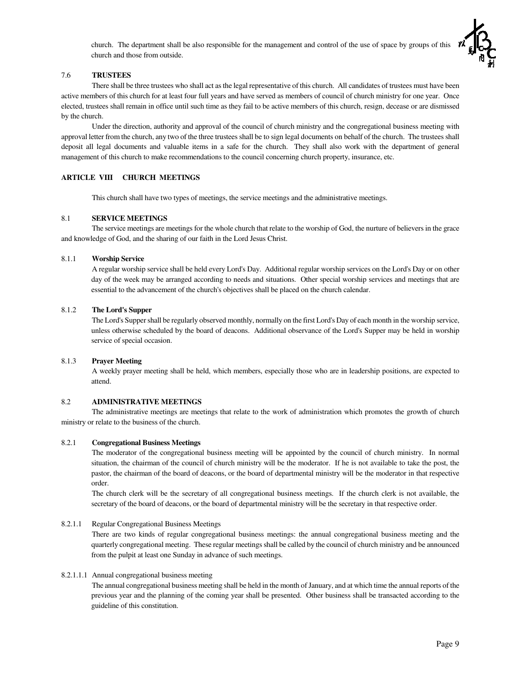church. The department shall be also responsible for the management and control of the use of space by groups of this church and those from outside.

## 7.6 **TRUSTEES**

There shall be three trustees who shall act as the legal representative of this church. All candidates of trustees must have been active members of this church for at least four full years and have served as members of council of church ministry for one year. Once elected, trustees shall remain in office until such time as they fail to be active members of this church, resign, decease or are dismissed by the church.

Under the direction, authority and approval of the council of church ministry and the congregational business meeting with approval letter from the church, any two of the three trustees shall be to sign legal documents on behalf of the church. The trustees shall deposit all legal documents and valuable items in a safe for the church. They shall also work with the department of general management of this church to make recommendations to the council concerning church property, insurance, etc.

# **ARTICLE VIII CHURCH MEETINGS**

This church shall have two types of meetings, the service meetings and the administrative meetings.

## 8.1 **SERVICE MEETINGS**

The service meetings are meetings for the whole church that relate to the worship of God, the nurture of believers in the grace and knowledge of God, and the sharing of our faith in the Lord Jesus Christ.

## 8.1.1 **Worship Service**

A regular worship service shall be held every Lord's Day. Additional regular worship services on the Lord's Day or on other day of the week may be arranged according to needs and situations. Other special worship services and meetings that are essential to the advancement of the church's objectives shall be placed on the church calendar.

# 8.1.2 **The Lord's Supper**

The Lord's Suppershall be regularly observed monthly, normally on the first Lord's Day of each month in the worship service, unless otherwise scheduled by the board of deacons. Additional observance of the Lord's Supper may be held in worship service of special occasion.

## 8.1.3 **Prayer Meeting**

A weekly prayer meeting shall be held, which members, especially those who are in leadership positions, are expected to attend.

## 8.2 **ADMINISTRATIVE MEETINGS**

The administrative meetings are meetings that relate to the work of administration which promotes the growth of church ministry or relate to the business of the church.

## 8.2.1 **Congregational Business Meetings**

The moderator of the congregational business meeting will be appointed by the council of church ministry. In normal situation, the chairman of the council of church ministry will be the moderator. If he is not available to take the post, the pastor, the chairman of the board of deacons, or the board of departmental ministry will be the moderator in that respective order.

The church clerk will be the secretary of all congregational business meetings. If the church clerk is not available, the secretary of the board of deacons, or the board of departmental ministry will be the secretary in that respective order.

# 8.2.1.1 Regular Congregational Business Meetings

There are two kinds of regular congregational business meetings: the annual congregational business meeting and the quarterly congregational meeting. These regular meetings shall be called by the council of church ministry and be announced from the pulpit at least one Sunday in advance of such meetings.

# 8.2.1.1.1 Annual congregational business meeting

The annual congregational business meeting shall be held in the month of January, and at which time the annual reports of the previous year and the planning of the coming year shall be presented. Other business shall be transacted according to the guideline of this constitution.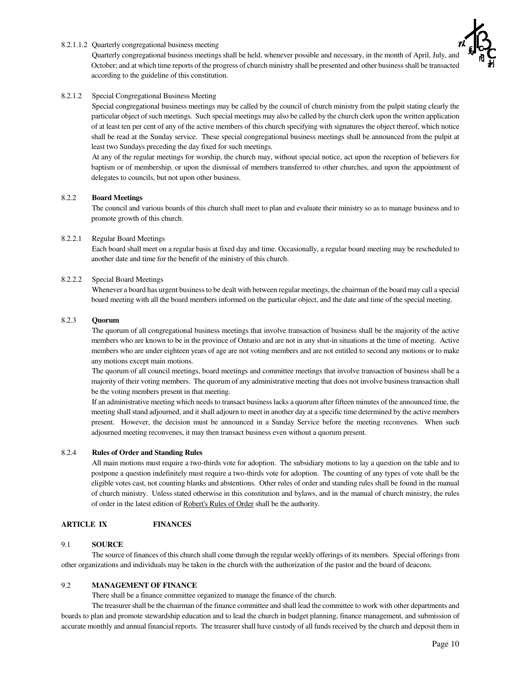# 8.2.1.1.2 Quarterly congregational business meeting

Quarterly congregational business meetings shall be held, whenever possible and necessary, in the month of April, July, and October; and at which time reports of the progress of church ministry shall be presented and other businessshall be transacted according to the guideline of this constitution.

# 8.2.1.2 Special Congregational Business Meeting

Special congregational business meetings may be called by the council of church ministry from the pulpit stating clearly the particular object of such meetings. Such special meetings may also be called by the church clerk upon the written application of at least ten per cent of any of the active members of this church specifying with signatures the object thereof, which notice shall be read at the Sunday service. These special congregational business meetings shall be announced from the pulpit at least two Sundays preceding the day fixed for such meetings.

At any of the regular meetings for worship, the church may, without special notice, act upon the reception of believers for baptism or of membership, or upon the dismissal of members transferred to other churches, and upon the appointment of delegates to councils, but not upon other business.

# 8.2.2 **Board Meetings**

The council and various boards of this church shall meet to plan and evaluate their ministry so as to manage business and to promote growth of this church.

# 8.2.2.1 Regular Board Meetings

Each board shall meet on a regular basis at fixed day and time. Occasionally, a regular board meeting may be rescheduled to another date and time for the benefit of the ministry of this church.

# 8.2.2.2 Special Board Meetings

Whenever a board has urgent business to be dealt with between regular meetings, the chairman of the board may call a special board meeting with all the board members informed on the particular object, and the date and time of the special meeting.

## 8.2.3 **Quorum**

The quorum of all congregational business meetings that involve transaction of business shall be the majority of the active members who are known to be in the province of Ontario and are not in any shut-in situations at the time of meeting. Active members who are under eighteen years of age are not voting members and are not entitled to second any motions or to make any motions except main motions.

The quorum of all council meetings, board meetings and committee meetings that involve transaction of business shall be a majority of their voting members. The quorum of any administrative meeting that does not involve business transaction shall be the voting members present in that meeting.

If an administrative meeting which needs to transact business lacks a quorum after fifteen minutes of the announced time, the meeting shall stand adjourned, and it shall adjourn to meet in another day at a specific time determined by the active members present. However, the decision must be announced in a Sunday Service before the meeting reconvenes. When such adjourned meeting reconvenes, it may then transact business even without a quorum present.

## 8.2.4 **Rules of Order and Standing Rules**

All main motions must require a two-thirds vote for adoption. The subsidiary motions to lay a question on the table and to postpone a question indefinitely must require a two-thirds vote for adoption. The counting of any types of vote shall be the eligible votes cast, not counting blanks and abstentions. Other rules of order and standing rules shall be found in the manual of church ministry. Unless stated otherwise in this constitution and bylaws, and in the manual of church ministry, the rules of order in the latest edition of Robert's Rules of Order shall be the authority.

# **ARTICLE IX FINANCES**

# 9.1 **SOURCE**

The source of finances of this church shall come through the regular weekly offerings of its members. Special offerings from other organizations and individuals may be taken in the church with the authorization of the pastor and the board of deacons.

## 9.2 **MANAGEMENT OF FINANCE**

There shall be a finance committee organized to manage the finance of the church.

The treasurer shall be the chairman of the finance committee and shall lead the committee to work with other departments and boards to plan and promote stewardship education and to lead the church in budget planning, finance management, and submission of accurate monthly and annual financial reports. The treasurer shall have custody of all funds received by the church and deposit them in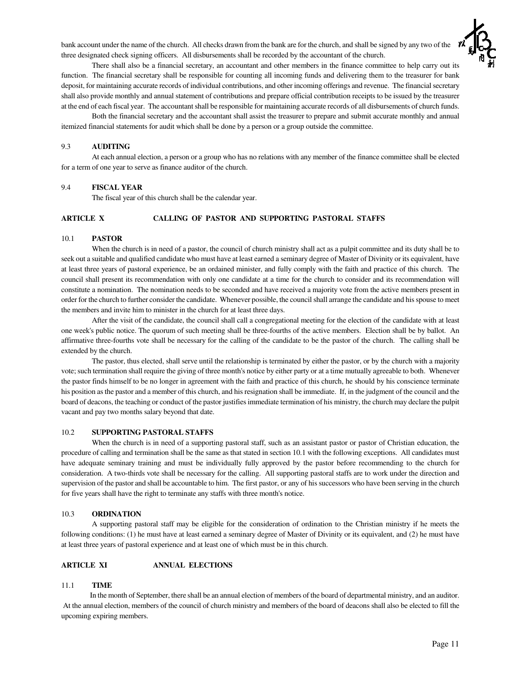bank account under the name of the church. All checks drawn from the bank are for the church, and shall be signed by any two of the three designated check signing officers. All disbursements shall be recorded by the accountant of the church.



There shall also be a financial secretary, an accountant and other members in the finance committee to help carry out its function. The financial secretary shall be responsible for counting all incoming funds and delivering them to the treasurer for bank deposit, for maintaining accurate records of individual contributions, and other incoming offerings and revenue. The financial secretary shall also provide monthly and annual statement of contributions and prepare official contribution receipts to be issued by the treasurer at the end of each fiscal year. The accountant shall be responsible for maintaining accurate records of all disbursements of church funds.

Both the financial secretary and the accountant shall assist the treasurer to prepare and submit accurate monthly and annual itemized financial statements for audit which shall be done by a person or a group outside the committee.

#### 9.3 **AUDITING**

At each annual election, a person or a group who has no relations with any member of the finance committee shall be elected for a term of one year to serve as finance auditor of the church.

# 9.4 **FISCAL YEAR**

The fiscal year of this church shall be the calendar year.

# **ARTICLE X CALLING OF PASTOR AND SUPPORTING PASTORAL STAFFS**

#### 10.1 **PASTOR**

When the church is in need of a pastor, the council of church ministry shall act as a pulpit committee and its duty shall be to seek out a suitable and qualified candidate who must have at least earned a seminary degree of Master of Divinity or its equivalent, have at least three years of pastoral experience, be an ordained minister, and fully comply with the faith and practice of this church. The council shall present its recommendation with only one candidate at a time for the church to consider and its recommendation will constitute a nomination. The nomination needs to be seconded and have received a majority vote from the active members present in order for the church to further consider the candidate. Whenever possible, the councilshall arrange the candidate and hisspouse to meet the members and invite him to minister in the church for at least three days.

After the visit of the candidate, the council shall call a congregational meeting for the election of the candidate with at least one week's public notice. The quorum of such meeting shall be three-fourths of the active members. Election shall be by ballot. An affirmative three-fourths vote shall be necessary for the calling of the candidate to be the pastor of the church. The calling shall be extended by the church.

The pastor, thus elected, shall serve until the relationship is terminated by either the pastor, or by the church with a majority vote;such termination shall require the giving of three month's notice by either party or at a time mutually agreeable to both. Whenever the pastor finds himself to be no longer in agreement with the faith and practice of this church, he should by his conscience terminate his position asthe pastor and a member of this church, and his resignation shall be immediate. If, in the judgment of the council and the board of deacons, the teaching or conduct of the pastor justifiesimmediate termination of his ministry, the church may declare the pulpit vacant and pay two months salary beyond that date.

#### 10.2 **SUPPORTING PASTORAL STAFFS**

When the church is in need of a supporting pastoral staff, such as an assistant pastor or pastor of Christian education, the procedure of calling and termination shall be the same as that stated in section 10.1 with the following exceptions. All candidates must have adequate seminary training and must be individually fully approved by the pastor before recommending to the church for consideration. A two-thirds vote shall be necessary for the calling. All supporting pastoral staffs are to work under the direction and supervision of the pastor and shall be accountable to him. The first pastor, or any of his successors who have been serving in the church for five years shall have the right to terminate any staffs with three month's notice.

#### 10.3 **ORDINATION**

A supporting pastoral staff may be eligible for the consideration of ordination to the Christian ministry if he meets the following conditions: (1) he must have at least earned a seminary degree of Master of Divinity or its equivalent, and (2) he must have at least three years of pastoral experience and at least one of which must be in this church.

#### **ARTICLE XI ANNUAL ELECTIONS**

#### 11.1 **TIME**

In the month of September, there shall be an annual election of members of the board of departmental ministry, and an auditor. At the annual election, members of the council of church ministry and members of the board of deacons shall also be elected to fill the upcoming expiring members.